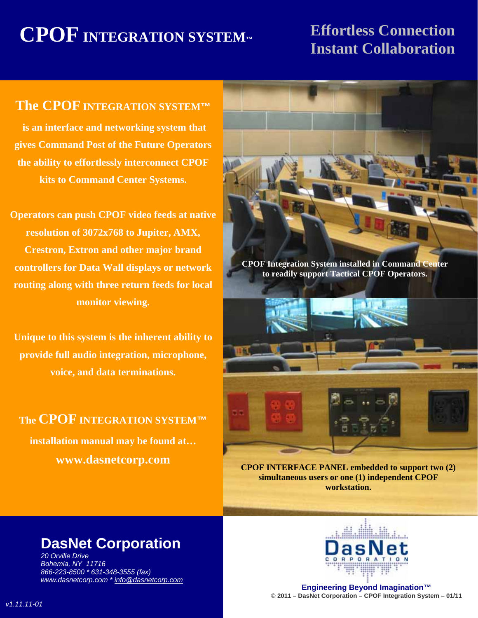## **CPOF INTEGRATION SYSTEM™ Effortless Connection**

# **The Instant Collaboration**

#### **The CPOF INTEGRATION SYSTEM™**

 **is an interface and networking system that gives Command Post of the Future Operators the ability to effortlessly interconnect CPOF kits to Command Center Systems.** 

**Operators can push CPOF video feeds at native resolution of 3072x768 to Jupiter, AMX, Crestron, Extron and other major brand controllers for Data Wall displays or network routing along with three return feeds for local monitor viewing.** 

**Unique to this system is the inherent ability to provide full audio integration, microphone, voice, and data terminations.** 

**The CPOF INTEGRATION SYSTEM™ installation manual may be found at… www.dasnetcorp.com** 



**CPOF Integration System installed in Command Center to readily support Tactical CPOF Operators.** 



**CPOF INTERFACE PANEL embedded to support two (2) simultaneous users or one (1) independent CPOF workstation.** 

#### **DasNet Corporation**

*20 Orville Drive Bohemia, NY 11716 866-223-8500 \* 631-348-3555 (fax) www.dasnetcorp.com \* info@dasnetcorp.com*



**Engineering Beyond Imagination™** © **2011 – DasNet Corporation – CPOF Integration System – 01/11**